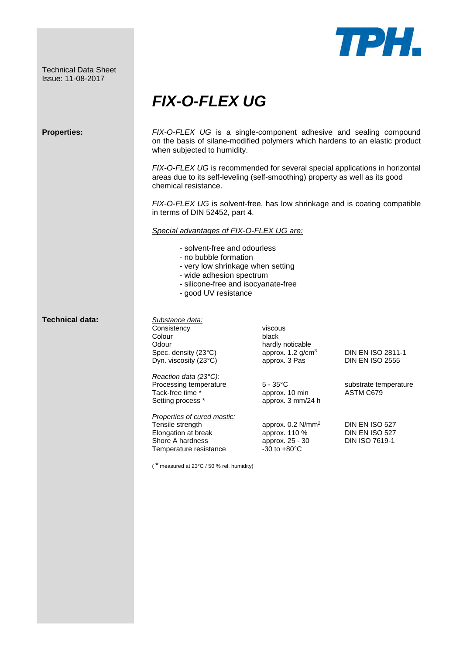Technical Data Sheet Issue: 11-08-2017



## *FIX-O-FLEX UG*

| <b>Properties:</b>     | FIX-O-FLEX UG is a single-component adhesive and sealing compound<br>on the basis of silane-modified polymers which hardens to an elastic product<br>when subjected to humidity.<br>FIX-O-FLEX UG is recommended for several special applications in horizontal<br>areas due to its self-leveling (self-smoothing) property as well as its good<br>chemical resistance.<br>FIX-O-FLEX UG is solvent-free, has low shrinkage and is coating compatible<br>in terms of DIN 52452, part 4.<br>Special advantages of FIX-O-FLEX UG are:<br>- solvent-free and odourless<br>- no bubble formation<br>- very low shrinkage when setting<br>- wide adhesion spectrum<br>- silicone-free and isocyanate-free<br>- good UV resistance |                                                                                                                                                                                                                                                          |                                                                                                                                                       |
|------------------------|------------------------------------------------------------------------------------------------------------------------------------------------------------------------------------------------------------------------------------------------------------------------------------------------------------------------------------------------------------------------------------------------------------------------------------------------------------------------------------------------------------------------------------------------------------------------------------------------------------------------------------------------------------------------------------------------------------------------------|----------------------------------------------------------------------------------------------------------------------------------------------------------------------------------------------------------------------------------------------------------|-------------------------------------------------------------------------------------------------------------------------------------------------------|
| <b>Technical data:</b> | Substance data:<br>Consistency<br>Colour<br>Odour<br>Spec. density (23°C)<br>Dyn. viscosity (23°C)<br>Reaction data (23°C):<br>Processing temperature<br>Tack-free time *<br>Setting process *<br>Properties of cured mastic:<br>Tensile strength<br>Elongation at break<br>Shore A hardness<br>Temperature resistance<br>, *<br>measured at 23°C / 50 % rel. humidity)                                                                                                                                                                                                                                                                                                                                                      | viscous<br>black<br>hardly noticable<br>approx. $1.2$ g/cm <sup>3</sup><br>approx. 3 Pas<br>$5 - 35^{\circ}$ C<br>approx. 10 min<br>approx. 3 mm/24 h<br>approx. $0.2$ N/mm <sup>2</sup><br>approx. 110 %<br>approx. 25 - 30<br>$-30$ to $+80^{\circ}$ C | <b>DIN EN ISO 2811-1</b><br><b>DIN EN ISO 2555</b><br>substrate temperature<br>ASTM C679<br>DIN EN ISO 527<br>DIN EN ISO 527<br><b>DIN ISO 7619-1</b> |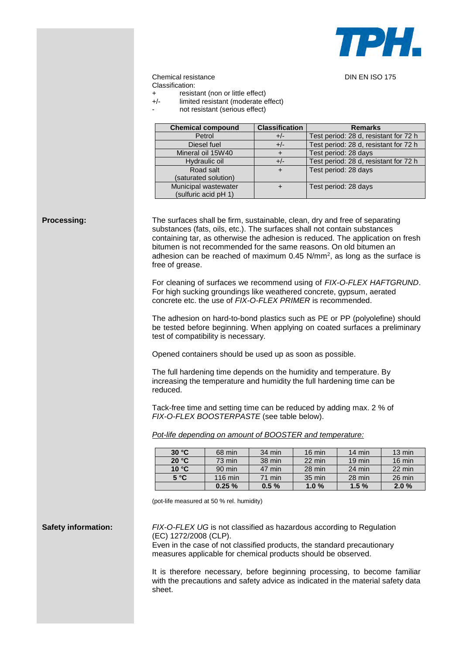

## Chemical resistance DIN EN ISO 175 Classification:

resistant (non or little effect)

- +/- limited resistant (moderate effect)
	- not resistant (serious effect)

| <b>Chemical compound</b> | <b>Classification</b> | <b>Remarks</b>                        |  |
|--------------------------|-----------------------|---------------------------------------|--|
| Petrol                   | $+/-$                 | Test period: 28 d, resistant for 72 h |  |
| Diesel fuel              | $+/-$                 | Test period: 28 d, resistant for 72 h |  |
| Mineral oil 15W40        |                       | Test period: 28 days                  |  |
| Hydraulic oil            | $+/-$                 | Test period: 28 d, resistant for 72 h |  |
| Road salt                |                       | Test period: 28 days                  |  |
| (saturated solution)     |                       |                                       |  |
| Municipal wastewater     |                       | Test period: 28 days                  |  |
| (sulfuric acid pH 1)     |                       |                                       |  |

**Processing:** The surfaces shall be firm, sustainable, clean, dry and free of separating substances (fats, oils, etc.). The surfaces shall not contain substances containing tar, as otherwise the adhesion is reduced. The application on fresh bitumen is not recommended for the same reasons. On old bitumen an adhesion can be reached of maximum  $0.45$  N/mm<sup>2</sup>, as long as the surface is free of grease.

> For cleaning of surfaces we recommend using of *FIX-O-FLEX HAFTGRUND*. For high sucking groundings like weathered concrete, gypsum, aerated concrete etc. the use of *FIX-O-FLEX PRIMER* is recommended.

> The adhesion on hard-to-bond plastics such as PE or PP (polyolefine) should be tested before beginning. When applying on coated surfaces a preliminary test of compatibility is necessary.

Opened containers should be used up as soon as possible.

The full hardening time depends on the humidity and temperature. By increasing the temperature and humidity the full hardening time can be reduced.

Tack-free time and setting time can be reduced by adding max. 2 % of *FIX-O-FLEX BOOSTERPASTE* (see table below).

*Pot-life depending on amount of BOOSTER and temperature:*

| 30 °C | 68 min            | $34 \text{ min}$ | $16 \text{ min}$ | $14 \text{ min}$ | $13 \text{ min}$ |
|-------|-------------------|------------------|------------------|------------------|------------------|
| 20 °C | 73 min            | 38 min           | 22 min           | $19 \text{ min}$ | $16 \text{ min}$ |
| 10 °C | $90$ min          | 47 min           | 28 min           | $24 \text{ min}$ | 22 min           |
| 5 °C  | $116 \text{ min}$ | $71$ min         | 35 min           | 28 min           | 26 min           |
|       | 0.25%             | 0.5%             | 1.0%             | 1.5%             | 2.0%             |

(pot-life measured at 50 % rel. humidity)

**Safety information:** *FIX-O-FLEX UG* is not classified as hazardous according to Regulation (EC) 1272/2008 (CLP). Even in the case of not classified products, the standard precautionary

measures applicable for chemical products should be observed.

It is therefore necessary, before beginning processing, to become familiar with the precautions and safety advice as indicated in the material safety data sheet.